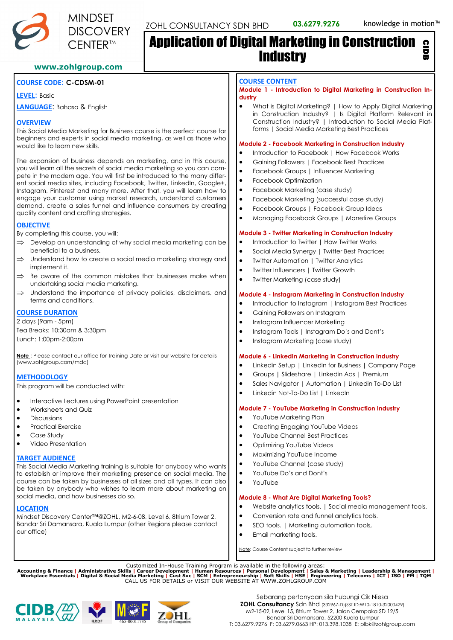

# Application of Digital Marketing in Construction **Industry** CIDB

# **www.zohlgroup.com**

# **COURSE CODE**: **C-CDSM-01**

**LEVEL**: Basic

**LANGUAGE**: Bahasa & English

## **OVERVIEW**

This Social Media Marketing for Business course is the perfect course for beginners and experts in social media marketing, as well as those who would like to learn new skills.

The expansion of business depends on marketing, and in this course, you will learn all the secrets of social media marketing so you can compete in the modern age. You will first be introduced to the many different social media sites, including Facebook, Twitter, LinkedIn, Google+, Instagram, Pinterest and many more. After that, you will learn how to engage your customer using market research, understand customers demand, create a sales funnel and influence consumers by creating quality content and crafting strategies.

# **OBJECTIVE**

By completing this course, you will:

- $\Rightarrow$  Develop an understanding of why social media marketing can be beneficial to a business.
- $\Rightarrow$  Understand how to create a social media marketing strategy and implement it.
- $\Rightarrow$  Be aware of the common mistakes that businesses make when undertaking social media marketing.
- $\implies$  Understand the importance of privacy policies, disclaimers, and terms and conditions.

# **COURSE DURATION**

2 days (9am - 5pm) Tea Breaks: 10:30am & 3:30pm Lunch: 1:00pm-2:00pm

**Note** : Please contact our office for Training Date or visit our website for details (www.zohlgroup.com/mdc)

## **METHODOLOGY**

This program will be conducted with:

- Interactive Lectures using PowerPoint presentation
- Worksheets and Quiz
- Discussions
- Practical Exercise
- Case Study
- Video Presentation

## **TARGET AUDIENCE**

This Social Media Marketing training is suitable for anybody who wants to establish or improve their marketing presence on social media. The course can be taken by businesses of all sizes and all types. It can also be taken by anybody who wishes to learn more about marketing on social media, and how businesses do so.

## **LOCATION**

Mindset Discovery Center™@ZOHL, M2-6-08, Level 6, 8trium Tower 2, Bandar Sri Damansara, Kuala Lumpur (other Regions please contact our office)

#### **COURSE CONTENT**

**Module 1 - Introduction to Digital Marketing in Construction Industry**

• What is Digital Marketing? | How to Apply Digital Marketing in Construction Industry? | Is Digital Platform Relevant in Construction Industry? | Introduction to Social Media Platforms | Social Media Marketing Best Practices

#### **Module 2 - Facebook Marketing in Construction Industry**

- Introduction to Facebook | How Facebook Works
- Gaining Followers | Facebook Best Practices
- Facebook Groups | Influencer Marketing
- Facebook Optimization
- Facebook Marketing (case study)
- Facebook Marketing (successful case study)
- Facebook Groups | Facebook Group Ideas
- Managing Facebook Groups | Monetize Groups

#### **Module 3 - Twitter Marketing in Construction Industry**

- Introduction to Twitter I How Twitter Works
- Social Media Synergy | Twitter Best Practices
- Twitter Automation | Twitter Analytics
- Twitter Influencers | Twitter Growth
- Twitter Marketing (case study)

#### **Module 4 - Instagram Marketing in Construction Industry**

- Introduction to Instagram | Instagram Best Practices
- Gaining Followers on Instagram
- Instagram Influencer Marketing
- Instagram Tools | Instagram Do's and Dont's
- Instagram Marketing (case study)

#### **Module 6 - LinkedIn Marketing in Construction Industry**

- Linkedin Setup | Linkedin for Business | Company Page
- Groups | Slideshare | Linkedin Ads | Premium
- Sales Navigator | Automation | Linkedin To-Do List
- Linkedin Not-To-Do List | LinkedIn

#### **Module 7 - YouTube Marketing in Construction Industry**

- YouTube Marketing Plan
- Creating Engaging YouTube Videos
- YouTube Channel Best Practices
- Optimizing YouTube Videos
- Maximizing YouTube Income
- YouTube Channel (case study)
- YouTube Do's and Dont's
- YouTube

#### **Module 8 - What Are Digital Marketing Tools?**

- Website analytics tools. | Social media management tools.
- Conversion rate and funnel analytics tools.
- SEO tools. | Marketing automation tools,
- Email marketing tools.

Note: Course Content subject to further review

Customized In-House Training Program is available in the following areas:<br>Accounting & Finance | Administrative Skills | Career Development | Human Resources | Personal Development | Sales & Marketing | Leadership & Manage